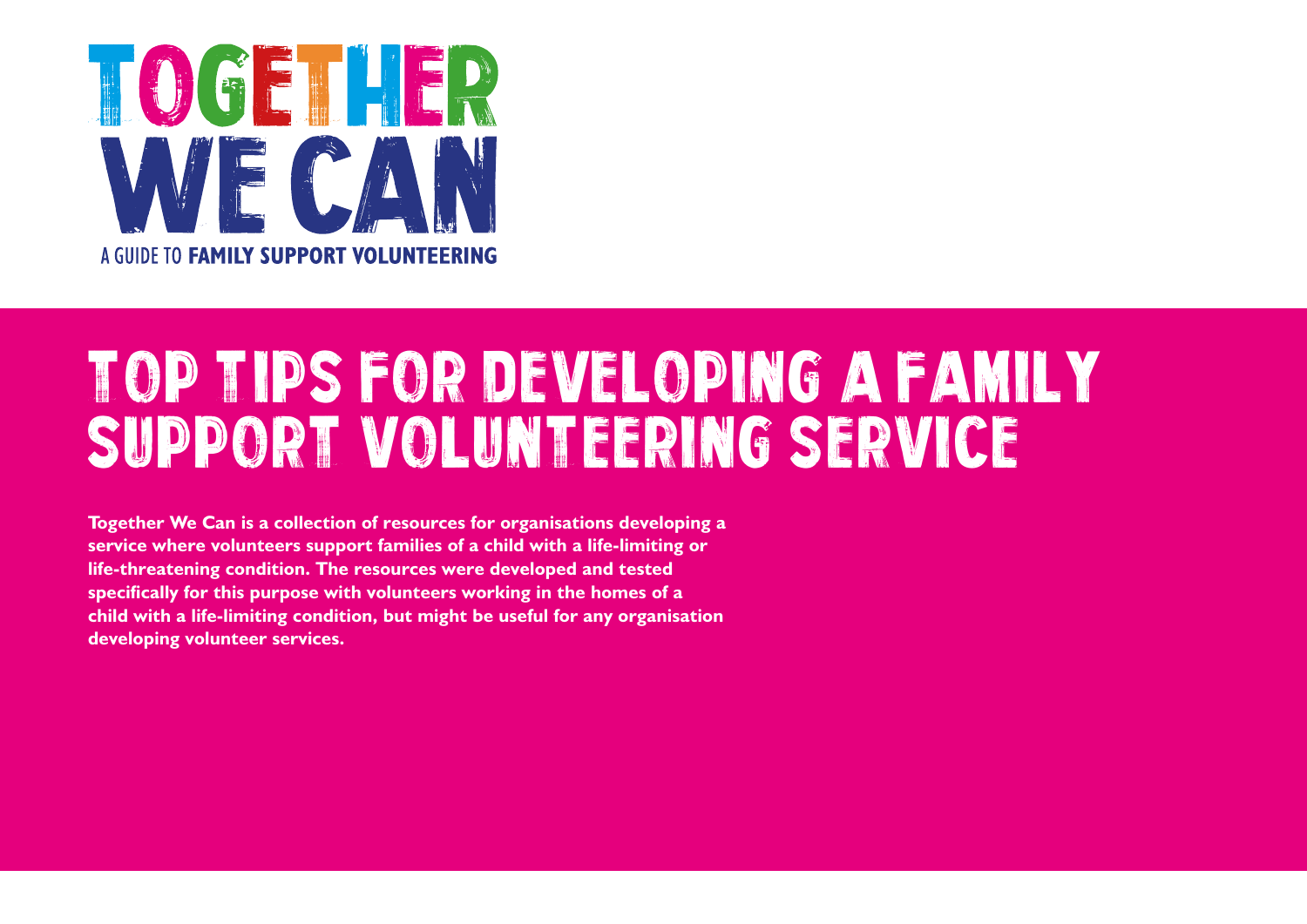

# Top Tips FOR DEVELOPING A FAMILY SUPPORT VOLUNTEERING SERVICE

**Together We Can is a collection of resources for organisations developing a service where volunteers support families of a child with a life-limiting or life-threatening condition. The resources were developed and tested specifically for this purpose with volunteers working in the homes of a child with a life-limiting condition, but might be useful for any organisation developing volunteer services.**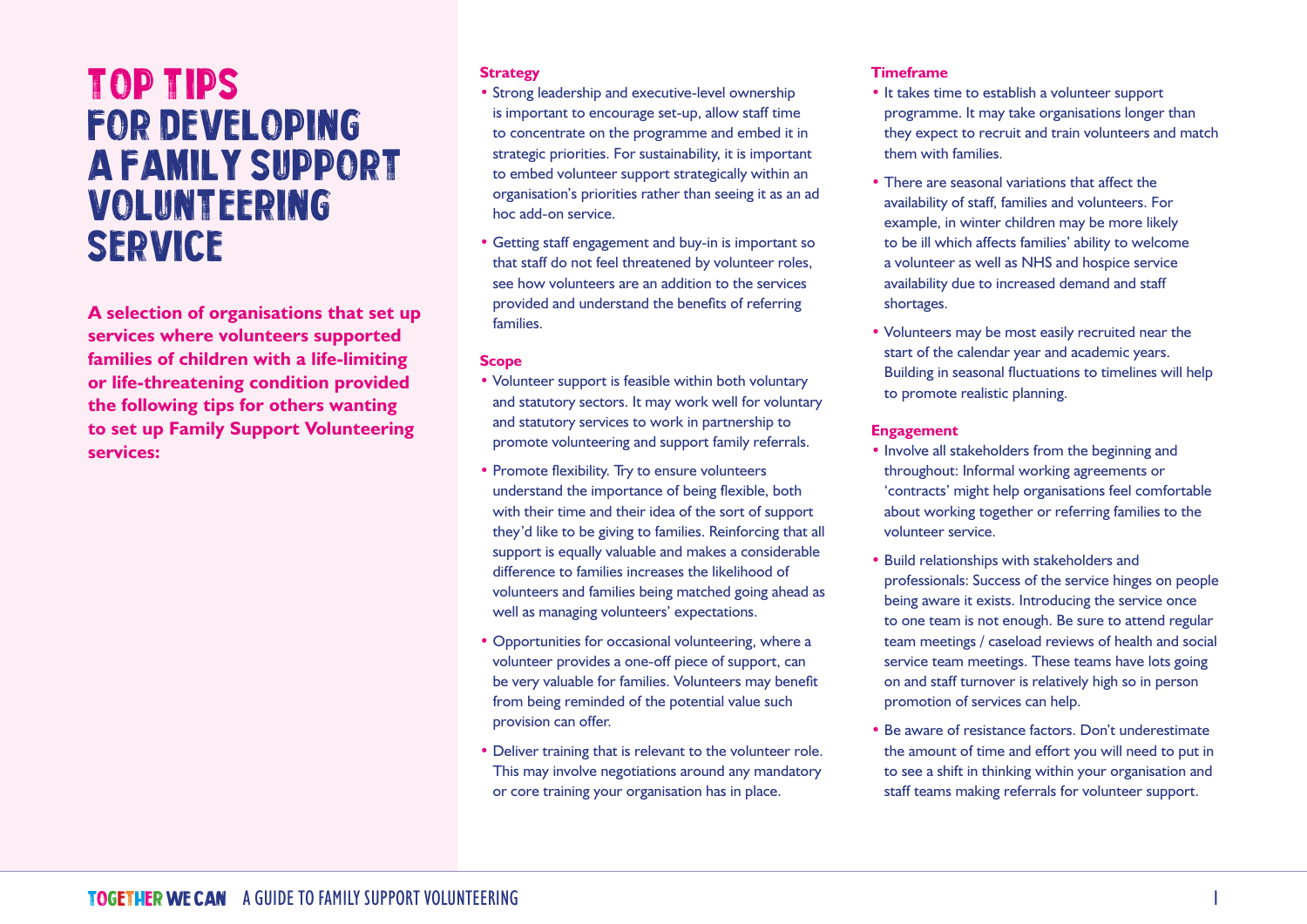# Top Tips FOR DEVELOPING A FAMILY SUPPORT VOLUNTEERING SERVICE

**A selection of organisations that set up services where volunteers supported families of children with a life-limiting or life-threatening condition provided the following tips for others wanting to set up Family Support Volunteering services:**

# **Strategy**

- Strong leadership and executive-level ownership is important to encourage set-up, allow staff time to concentrate on the programme and embed it in strategic priorities. For sustainability, it is important to embed volunteer support strategically within an organisation's priorities rather than seeing it as an ad hoc add-on service.
- Getting staff engagement and buy-in is important so that staff do not feel threatened by volunteer roles, see how volunteers are an addition to the services provided and understand the benefits of referring families.

#### **Scope**

- Volunteer support is feasible within both voluntary and statutory sectors. It may work well for voluntary and statutory services to work in partnership to promote volunteering and support family referrals.
- Promote flexibility. Try to ensure volunteers understand the importance of being flexible, both with their time and their idea of the sort of support they'd like to be giving to families. Reinforcing that all support is equally valuable and makes a considerable difference to families increases the likelihood of volunteers and families being matched going ahead as well as managing volunteers' expectations.
- Opportunities for occasional volunteering, where a volunteer provides a one-off piece of support, can be very valuable for families. Volunteers may benefit from being reminded of the potential value such provision can offer.
- Deliver training that is relevant to the volunteer role. This may involve negotiations around any mandatory or core training your organisation has in place.

# **Timeframe**

- It takes time to establish a volunteer support programme. It may take organisations longer than they expect to recruit and train volunteers and match them with families.
- There are seasonal variations that affect the availability of staff, families and volunteers. For example, in winter children may be more likely to be ill which affects families' ability to welcome a volunteer as well as NHS and hospice service availability due to increased demand and staff shortages.
- Volunteers may be most easily recruited near the start of the calendar year and academic years. Building in seasonal fluctuations to timelines will help to promote realistic planning.

# **Engagement**

- Involve all stakeholders from the beginning and throughout: Informal working agreements or 'contracts' might help organisations feel comfortable about working together or referring families to the volunteer service.
- Build relationships with stakeholders and professionals: Success of the service hinges on people being aware it exists. Introducing the service once to one team is not enough. Be sure to attend regular team meetings / caseload reviews of health and social service team meetings. These teams have lots going on and staff turnover is relatively high so in person promotion of services can help.
- Be aware of resistance factors. Don't underestimate the amount of time and effort you will need to put in to see a shift in thinking within your organisation and staff teams making referrals for volunteer support.